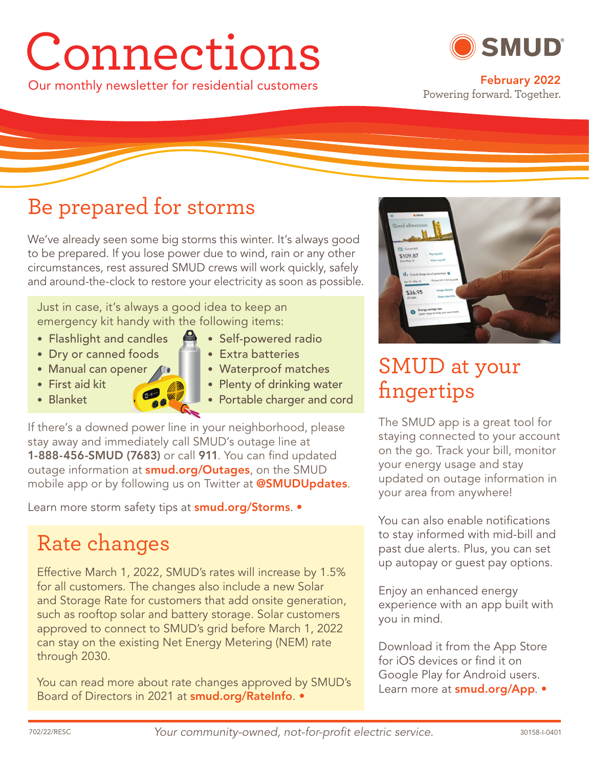# Connections



Our monthly newsletter for residential customers **February 2022** Powering forward. Together.

# Be prepared for storms

We've already seen some big storms this winter. It's always good to be prepared. If you lose power due to wind, rain or any other circumstances, rest assured SMUD crews will work quickly, safely and around-the-clock to restore your electricity as soon as possible.

Just in case, it's always a good idea to keep an emergency kit handy with the following items:

- Flashlight and candles Self-powered radio
- Dry or canned foods  **Extra batteries**
- Manual can opener ( $\sqrt{ }$  Waterproof matches
- 
- 
- 
- 
- 
- First aid kit Plenty of drinking water
- Blanket  **Portable charger and cord**

If there's a downed power line in your neighborhood, please stay away and immediately call SMUD's outage line at **1-888-456-SMUD (7683)** or call **911**. You can find updated outage information at **smud.org/Outages**, on the SMUD mobile app or by following us on Twitter at **@SMUDUpdates**.

Learn more storm safety tips at **smud.org/Storms**. •

# Rate changes

Effective March 1, 2022, SMUD's rates will increase by 1.5% for all customers. The changes also include a new Solar and Storage Rate for customers that add onsite generation, such as rooftop solar and battery storage. Solar customers approved to connect to SMUD's grid before March 1, 2022 can stay on the existing Net Energy Metering (NEM) rate through 2030.

You can read more about rate changes approved by SMUD's Board of Directors in 2021 at **smud.org/RateInfo**. •



# SMUD at your fingertips

The SMUD app is a great tool for staying connected to your account on the go. Track your bill, monitor your energy usage and stay updated on outage information in your area from anywhere!

You can also enable notifications to stay informed with mid-bill and past due alerts. Plus, you can set up autopay or guest pay options.

Enjoy an enhanced energy experience with an app built with you in mind.

Download it from the App Store for iOS devices or find it on Google Play for Android users. Learn more at **smud.org/App**. •